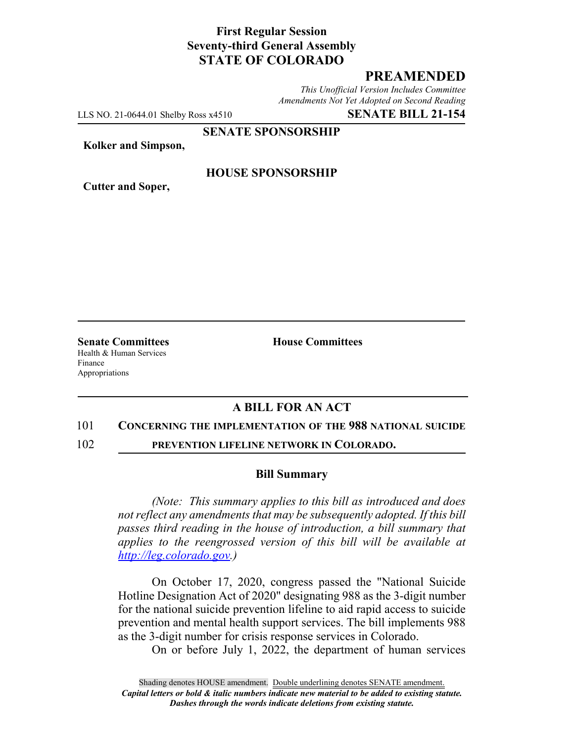# **First Regular Session Seventy-third General Assembly STATE OF COLORADO**

## **PREAMENDED**

*This Unofficial Version Includes Committee Amendments Not Yet Adopted on Second Reading*

LLS NO. 21-0644.01 Shelby Ross x4510 **SENATE BILL 21-154**

**SENATE SPONSORSHIP**

**Kolker and Simpson,**

**Cutter and Soper,**

### **HOUSE SPONSORSHIP**

**Senate Committees House Committees** Health & Human Services Finance Appropriations

### **A BILL FOR AN ACT**

#### 101 **CONCERNING THE IMPLEMENTATION OF THE 988 NATIONAL SUICIDE**

102 **PREVENTION LIFELINE NETWORK IN COLORADO.**

#### **Bill Summary**

*(Note: This summary applies to this bill as introduced and does not reflect any amendments that may be subsequently adopted. If this bill passes third reading in the house of introduction, a bill summary that applies to the reengrossed version of this bill will be available at http://leg.colorado.gov.)*

On October 17, 2020, congress passed the "National Suicide Hotline Designation Act of 2020" designating 988 as the 3-digit number for the national suicide prevention lifeline to aid rapid access to suicide prevention and mental health support services. The bill implements 988 as the 3-digit number for crisis response services in Colorado.

On or before July 1, 2022, the department of human services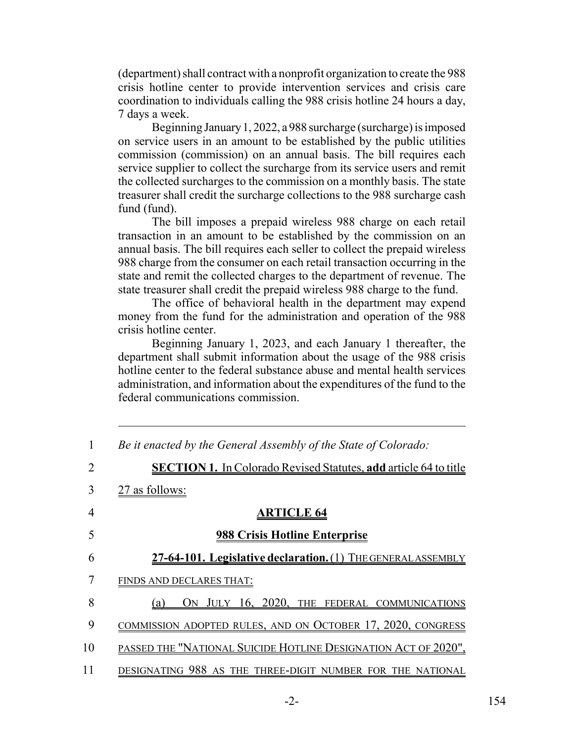(department) shall contract with a nonprofit organization to create the 988 crisis hotline center to provide intervention services and crisis care coordination to individuals calling the 988 crisis hotline 24 hours a day, 7 days a week.

Beginning January 1, 2022, a 988 surcharge (surcharge) is imposed on service users in an amount to be established by the public utilities commission (commission) on an annual basis. The bill requires each service supplier to collect the surcharge from its service users and remit the collected surcharges to the commission on a monthly basis. The state treasurer shall credit the surcharge collections to the 988 surcharge cash fund (fund).

The bill imposes a prepaid wireless 988 charge on each retail transaction in an amount to be established by the commission on an annual basis. The bill requires each seller to collect the prepaid wireless 988 charge from the consumer on each retail transaction occurring in the state and remit the collected charges to the department of revenue. The state treasurer shall credit the prepaid wireless 988 charge to the fund.

The office of behavioral health in the department may expend money from the fund for the administration and operation of the 988 crisis hotline center.

Beginning January 1, 2023, and each January 1 thereafter, the department shall submit information about the usage of the 988 crisis hotline center to the federal substance abuse and mental health services administration, and information about the expenditures of the fund to the federal communications commission.

| 1  | Be it enacted by the General Assembly of the State of Colorado:         |
|----|-------------------------------------------------------------------------|
| 2  | <b>SECTION 1.</b> In Colorado Revised Statutes, add article 64 to title |
| 3  | 27 as follows:                                                          |
| 4  | <b>ARTICLE 64</b>                                                       |
| 5  | <b>988 Crisis Hotline Enterprise</b>                                    |
| 6  | 27-64-101. Legislative declaration. (1) THE GENERAL ASSEMBLY            |
| 7  | FINDS AND DECLARES THAT:                                                |
| 8  | ON JULY 16, 2020, THE FEDERAL COMMUNICATIONS<br>(a)                     |
| 9  | COMMISSION ADOPTED RULES, AND ON OCTOBER 17, 2020, CONGRESS             |
| 10 | PASSED THE "NATIONAL SUICIDE HOTLINE DESIGNATION ACT OF 2020",          |
| 11 | DESIGNATING 988 AS THE THREE-DIGIT NUMBER FOR THE NATIONAL              |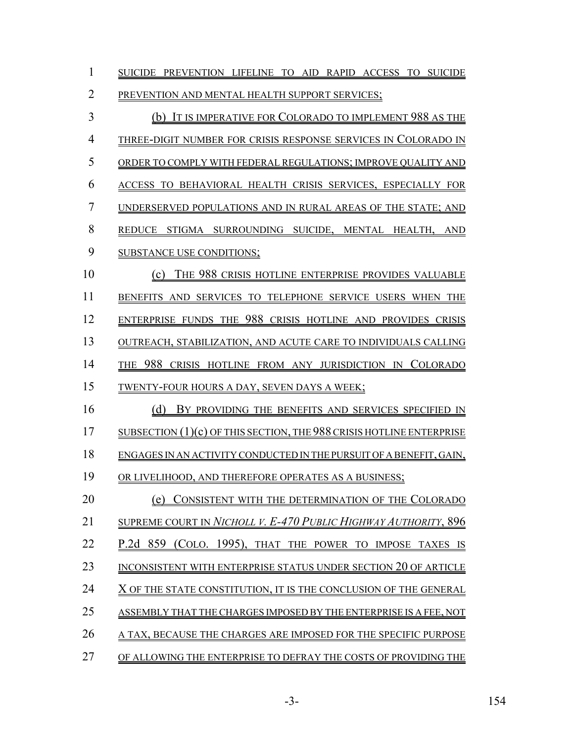| $\mathbf{1}$   | SUICIDE PREVENTION LIFELINE TO AID RAPID ACCESS TO SUICIDE             |
|----------------|------------------------------------------------------------------------|
| $\overline{2}$ | PREVENTION AND MENTAL HEALTH SUPPORT SERVICES;                         |
| 3              | (b) IT IS IMPERATIVE FOR COLORADO TO IMPLEMENT 988 AS THE              |
| $\overline{4}$ | THREE-DIGIT NUMBER FOR CRISIS RESPONSE SERVICES IN COLORADO IN         |
| 5              | ORDER TO COMPLY WITH FEDERAL REGULATIONS; IMPROVE QUALITY AND          |
| 6              | ACCESS TO BEHAVIORAL HEALTH CRISIS SERVICES, ESPECIALLY FOR            |
| 7              | UNDERSERVED POPULATIONS AND IN RURAL AREAS OF THE STATE; AND           |
| 8              | REDUCE STIGMA SURROUNDING SUICIDE, MENTAL HEALTH, AND                  |
| 9              | <b>SUBSTANCE USE CONDITIONS;</b>                                       |
| 10             | (c) THE 988 CRISIS HOTLINE ENTERPRISE PROVIDES VALUABLE                |
| 11             | BENEFITS AND SERVICES TO TELEPHONE SERVICE USERS WHEN THE              |
| 12             | ENTERPRISE FUNDS THE 988 CRISIS HOTLINE AND PROVIDES CRISIS            |
| 13             | OUTREACH, STABILIZATION, AND ACUTE CARE TO INDIVIDUALS CALLING         |
| 14             | THE 988 CRISIS HOTLINE FROM ANY JURISDICTION IN COLORADO               |
| 15             | TWENTY-FOUR HOURS A DAY, SEVEN DAYS A WEEK;                            |
| 16             | (d) BY PROVIDING THE BENEFITS AND SERVICES SPECIFIED IN                |
| 17             | SUBSECTION $(1)(c)$ OF THIS SECTION, THE 988 CRISIS HOTLINE ENTERPRISE |
| 18             | ENGAGES IN AN ACTIVITY CONDUCTED IN THE PURSUIT OF A BENEFIT, GAIN,    |
| 19             | OR LIVELIHOOD, AND THEREFORE OPERATES AS A BUSINESS;                   |
| 20             | (e) CONSISTENT WITH THE DETERMINATION OF THE COLORADO                  |
| 21             | <b>SUPREME COURT IN NICHOLL V. E-470 PUBLIC HIGHWAY AUTHORITY, 896</b> |
| 22             | P.2d 859 (COLO. 1995), THAT THE POWER TO IMPOSE TAXES IS               |
| 23             | INCONSISTENT WITH ENTERPRISE STATUS UNDER SECTION 20 OF ARTICLE        |
| 24             | X OF THE STATE CONSTITUTION, IT IS THE CONCLUSION OF THE GENERAL       |
| 25             | ASSEMBLY THAT THE CHARGES IMPOSED BY THE ENTERPRISE IS A FEE, NOT      |
| 26             | A TAX, BECAUSE THE CHARGES ARE IMPOSED FOR THE SPECIFIC PURPOSE        |
| 27             | OF ALLOWING THE ENTERPRISE TO DEFRAY THE COSTS OF PROVIDING THE        |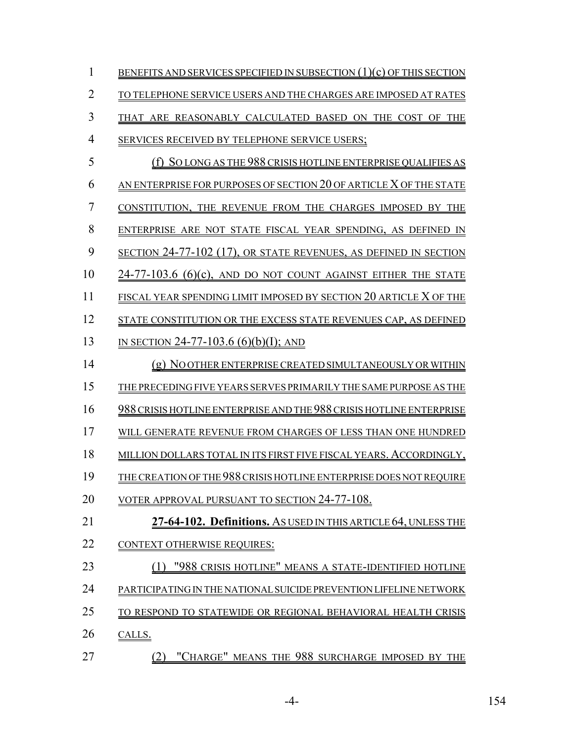| 1              | BENEFITS AND SERVICES SPECIFIED IN SUBSECTION $(1)(c)$ OF THIS SECTION |
|----------------|------------------------------------------------------------------------|
| $\overline{2}$ | TO TELEPHONE SERVICE USERS AND THE CHARGES ARE IMPOSED AT RATES        |
| 3              | THAT ARE REASONABLY CALCULATED BASED ON THE COST OF THE                |
| $\overline{4}$ | SERVICES RECEIVED BY TELEPHONE SERVICE USERS;                          |
| 5              | (f) SO LONG AS THE 988 CRISIS HOTLINE ENTERPRISE QUALIFIES AS          |
| 6              | AN ENTERPRISE FOR PURPOSES OF SECTION 20 OF ARTICLE X OF THE STATE     |
| $\overline{7}$ | CONSTITUTION, THE REVENUE FROM THE CHARGES IMPOSED BY THE              |
| 8              | ENTERPRISE ARE NOT STATE FISCAL YEAR SPENDING, AS DEFINED IN           |
| 9              | SECTION 24-77-102 (17), OR STATE REVENUES, AS DEFINED IN SECTION       |
| 10             | $24-77-103.6$ (6)(c), AND DO NOT COUNT AGAINST EITHER THE STATE        |
| 11             | FISCAL YEAR SPENDING LIMIT IMPOSED BY SECTION 20 ARTICLE X OF THE      |
| 12             | STATE CONSTITUTION OR THE EXCESS STATE REVENUES CAP, AS DEFINED        |
| 13             | IN SECTION 24-77-103.6 (6)(b)(I); AND                                  |
| 14             | (g) NO OTHER ENTERPRISE CREATED SIMULTANEOUSLY OR WITHIN               |
| 15             | THE PRECEDING FIVE YEARS SERVES PRIMARILY THE SAME PURPOSE AS THE      |
| 16             | 988 CRISIS HOTLINE ENTERPRISE AND THE 988 CRISIS HOTLINE ENTERPRISE    |
| 17             | WILL GENERATE REVENUE FROM CHARGES OF LESS THAN ONE HUNDRED            |
| 18             | MILLION DOLLARS TOTAL IN ITS FIRST FIVE FISCAL YEARS. ACCORDINGLY,     |
| 19             | THE CREATION OF THE 988 CRISIS HOTLINE ENTERPRISE DOES NOT REQUIRE     |
| 20             | VOTER APPROVAL PURSUANT TO SECTION 24-77-108.                          |
| 21             | 27-64-102. Definitions. As USED IN THIS ARTICLE 64, UNLESS THE         |
| 22             | <b>CONTEXT OTHERWISE REQUIRES:</b>                                     |
| 23             | "988 CRISIS HOTLINE" MEANS A STATE-IDENTIFIED HOTLINE                  |
| 24             | PARTICIPATING IN THE NATIONAL SUICIDE PREVENTION LIFELINE NETWORK      |
| 25             | TO RESPOND TO STATEWIDE OR REGIONAL BEHAVIORAL HEALTH CRISIS           |
| 26             | CALLS.                                                                 |
| 27             | "CHARGE" MEANS THE 988 SURCHARGE IMPOSED BY THE<br>(2)                 |

-4- 154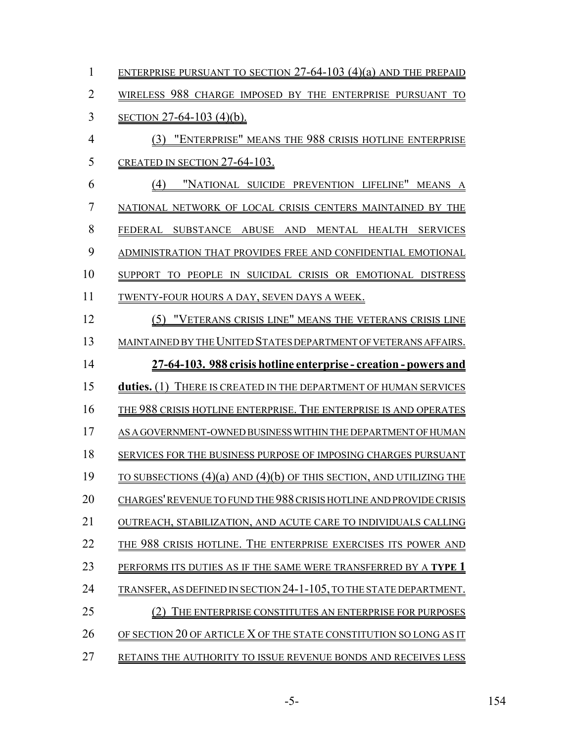| 1              | ENTERPRISE PURSUANT TO SECTION $27-64-103$ (4)(a) AND THE PREPAID          |
|----------------|----------------------------------------------------------------------------|
| $\overline{2}$ | WIRELESS 988 CHARGE IMPOSED BY THE ENTERPRISE PURSUANT TO                  |
| 3              | <u>SECTION 27-64-103 (4)(b).</u>                                           |
| $\overline{4}$ | (3) "ENTERPRISE" MEANS THE 988 CRISIS HOTLINE ENTERPRISE                   |
| 5              | CREATED IN SECTION 27-64-103.                                              |
| 6              | "NATIONAL SUICIDE PREVENTION LIFELINE" MEANS A<br>(4)                      |
| 7              | NATIONAL NETWORK OF LOCAL CRISIS CENTERS MAINTAINED BY THE                 |
| 8              | FEDERAL SUBSTANCE ABUSE AND MENTAL HEALTH SERVICES                         |
| 9              | ADMINISTRATION THAT PROVIDES FREE AND CONFIDENTIAL EMOTIONAL               |
| 10             | SUPPORT TO PEOPLE IN SUICIDAL CRISIS OR EMOTIONAL DISTRESS                 |
| 11             | TWENTY-FOUR HOURS A DAY, SEVEN DAYS A WEEK.                                |
| 12             | (5) "VETERANS CRISIS LINE" MEANS THE VETERANS CRISIS LINE                  |
| 13             | MAINTAINED BY THE UNITED STATES DEPARTMENT OF VETERANS AFFAIRS.            |
| 14             | 27-64-103. 988 crisis hotline enterprise - creation - powers and           |
| 15             | duties. (1) THERE IS CREATED IN THE DEPARTMENT OF HUMAN SERVICES           |
| 16             | THE 988 CRISIS HOTLINE ENTERPRISE. THE ENTERPRISE IS AND OPERATES          |
| 17             | AS A GOVERNMENT-OWNED BUSINESS WITHIN THE DEPARTMENT OF HUMAN              |
| 18             | SERVICES FOR THE BUSINESS PURPOSE OF IMPOSING CHARGES PURSUANT             |
| 19             | <u>TO SUBSECTIONS (4)(a) AND (4)(b) OF THIS SECTION, AND UTILIZING THE</u> |
| 20             | CHARGES' REVENUE TO FUND THE 988 CRISIS HOTLINE AND PROVIDE CRISIS         |
| 21             | OUTREACH, STABILIZATION, AND ACUTE CARE TO INDIVIDUALS CALLING             |
| 22             | THE 988 CRISIS HOTLINE. THE ENTERPRISE EXERCISES ITS POWER AND             |
| 23             | PERFORMS ITS DUTIES AS IF THE SAME WERE TRANSFERRED BY A TYPE 1            |
| 24             | TRANSFER, AS DEFINED IN SECTION 24-1-105, TO THE STATE DEPARTMENT.         |
| 25             | THE ENTERPRISE CONSTITUTES AN ENTERPRISE FOR PURPOSES                      |
| 26             | OF SECTION 20 OF ARTICLE X OF THE STATE CONSTITUTION SO LONG AS IT         |
| 27             | RETAINS THE AUTHORITY TO ISSUE REVENUE BONDS AND RECEIVES LESS             |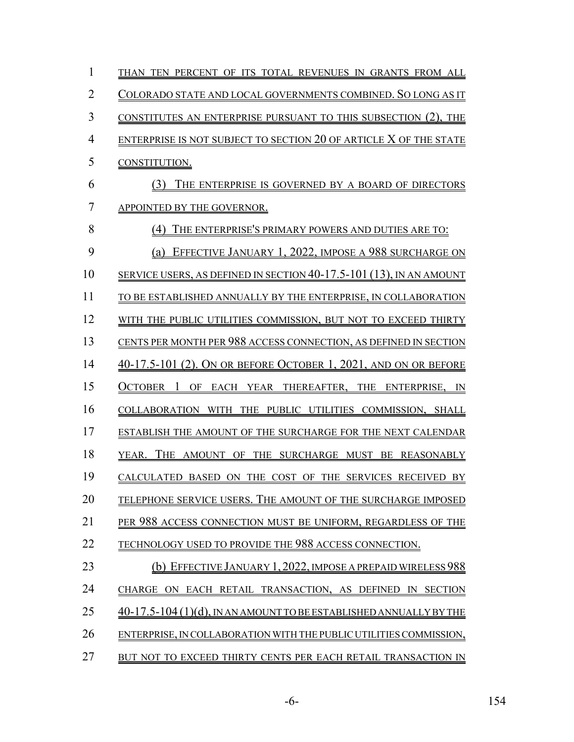| 1              | THAN TEN PERCENT OF ITS TOTAL REVENUES IN GRANTS FROM ALL             |
|----------------|-----------------------------------------------------------------------|
| $\overline{2}$ | COLORADO STATE AND LOCAL GOVERNMENTS COMBINED. SO LONG AS IT          |
| 3              | CONSTITUTES AN ENTERPRISE PURSUANT TO THIS SUBSECTION (2), THE        |
| $\overline{4}$ | ENTERPRISE IS NOT SUBJECT TO SECTION 20 OF ARTICLE X OF THE STATE     |
| 5              | CONSTITUTION.                                                         |
| 6              | THE ENTERPRISE IS GOVERNED BY A BOARD OF DIRECTORS<br>(3)             |
| 7              | APPOINTED BY THE GOVERNOR.                                            |
| 8              | THE ENTERPRISE'S PRIMARY POWERS AND DUTIES ARE TO:<br>(4)             |
| 9              | EFFECTIVE JANUARY 1, 2022, IMPOSE A 988 SURCHARGE ON<br>(a)           |
| 10             | SERVICE USERS, AS DEFINED IN SECTION $40-17.5-101(13)$ , IN AN AMOUNT |
| 11             | TO BE ESTABLISHED ANNUALLY BY THE ENTERPRISE, IN COLLABORATION        |
| 12             | WITH THE PUBLIC UTILITIES COMMISSION, BUT NOT TO EXCEED THIRTY        |
| 13             | CENTS PER MONTH PER 988 ACCESS CONNECTION, AS DEFINED IN SECTION      |
| 14             | 40-17.5-101 (2). ON OR BEFORE OCTOBER 1, 2021, AND ON OR BEFORE       |
| 15             | <b>OCTOBER</b><br>1<br>OF<br>EACH YEAR THEREAFTER, THE ENTERPRISE, IN |
| 16             | COLLABORATION WITH<br>THE<br>PUBLIC UTILITIES COMMISSION, SHALL       |
| 17             | ESTABLISH THE AMOUNT OF THE SURCHARGE FOR THE NEXT CALENDAR           |
| 18             | YEAR. THE AMOUNT OF THE SURCHARGE MUST BE REASONABLY                  |
| 19             | CALCULATED BASED ON THE COST OF THE SERVICES RECEIVED BY              |
| 20             | TELEPHONE SERVICE USERS. THE AMOUNT OF THE SURCHARGE IMPOSED          |
| 21             | PER 988 ACCESS CONNECTION MUST BE UNIFORM, REGARDLESS OF THE          |
| 22             | TECHNOLOGY USED TO PROVIDE THE 988 ACCESS CONNECTION.                 |
| 23             | (b) EFFECTIVE JANUARY 1, 2022, IMPOSE A PREPAID WIRELESS 988          |
| 24             | CHARGE ON EACH RETAIL TRANSACTION, AS DEFINED IN SECTION              |
| 25             | 40-17.5-104 (1)(d), IN AN AMOUNT TO BE ESTABLISHED ANNUALLY BY THE    |
| 26             | ENTERPRISE, IN COLLABORATION WITH THE PUBLIC UTILITIES COMMISSION,    |
| 27             | BUT NOT TO EXCEED THIRTY CENTS PER EACH RETAIL TRANSACTION IN         |

-6- 154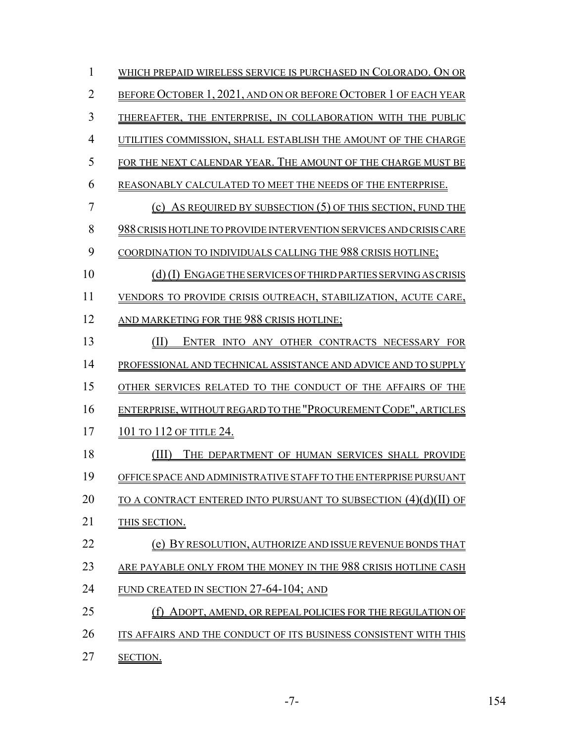| 1              | WHICH PREPAID WIRELESS SERVICE IS PURCHASED IN COLORADO. ON OR         |
|----------------|------------------------------------------------------------------------|
| 2              | BEFORE OCTOBER 1, 2021, AND ON OR BEFORE OCTOBER 1 OF EACH YEAR        |
| 3              | THEREAFTER, THE ENTERPRISE, IN COLLABORATION WITH THE PUBLIC           |
| $\overline{4}$ | UTILITIES COMMISSION, SHALL ESTABLISH THE AMOUNT OF THE CHARGE         |
| 5              | FOR THE NEXT CALENDAR YEAR. THE AMOUNT OF THE CHARGE MUST BE           |
| 6              | REASONABLY CALCULATED TO MEET THE NEEDS OF THE ENTERPRISE.             |
| 7              | (c) As REQUIRED BY SUBSECTION $(5)$ OF THIS SECTION, FUND THE          |
| 8              | 988 CRISIS HOTLINE TO PROVIDE INTERVENTION SERVICES AND CRISIS CARE    |
| 9              | COORDINATION TO INDIVIDUALS CALLING THE 988 CRISIS HOTLINE;            |
| 10             | (d) (I) ENGAGE THE SERVICES OF THIRD PARTIES SERVING AS CRISIS         |
| 11             | VENDORS TO PROVIDE CRISIS OUTREACH, STABILIZATION, ACUTE CARE,         |
| 12             | AND MARKETING FOR THE 988 CRISIS HOTLINE;                              |
| 13             | (H)<br>ENTER INTO ANY OTHER CONTRACTS NECESSARY FOR                    |
| 14             | PROFESSIONAL AND TECHNICAL ASSISTANCE AND ADVICE AND TO SUPPLY         |
| 15             | OTHER SERVICES RELATED TO THE CONDUCT OF THE AFFAIRS OF THE            |
| 16             | ENTERPRISE, WITHOUT REGARD TO THE "PROCUREMENT CODE", ARTICLES         |
| 17             | 101 TO 112 OF TITLE 24.                                                |
| 18             | (III)<br>THE DEPARTMENT OF HUMAN SERVICES SHALL PROVIDE                |
| 19             | OFFICE SPACE AND ADMINISTRATIVE STAFF TO THE ENTERPRISE PURSUANT       |
| 20             | <u>TO A CONTRACT ENTERED INTO PURSUANT TO SUBSECTION (4)(d)(II) OF</u> |
| 21             | THIS SECTION.                                                          |
| 22             | (e) BY RESOLUTION, AUTHORIZE AND ISSUE REVENUE BONDS THAT              |
| 23             | ARE PAYABLE ONLY FROM THE MONEY IN THE 988 CRISIS HOTLINE CASH         |
| 24             | <b>FUND CREATED IN SECTION 27-64-104; AND</b>                          |
| 25             | (f) ADOPT, AMEND, OR REPEAL POLICIES FOR THE REGULATION OF             |
| 26             | ITS AFFAIRS AND THE CONDUCT OF ITS BUSINESS CONSISTENT WITH THIS       |
| 27             | <b>SECTION.</b>                                                        |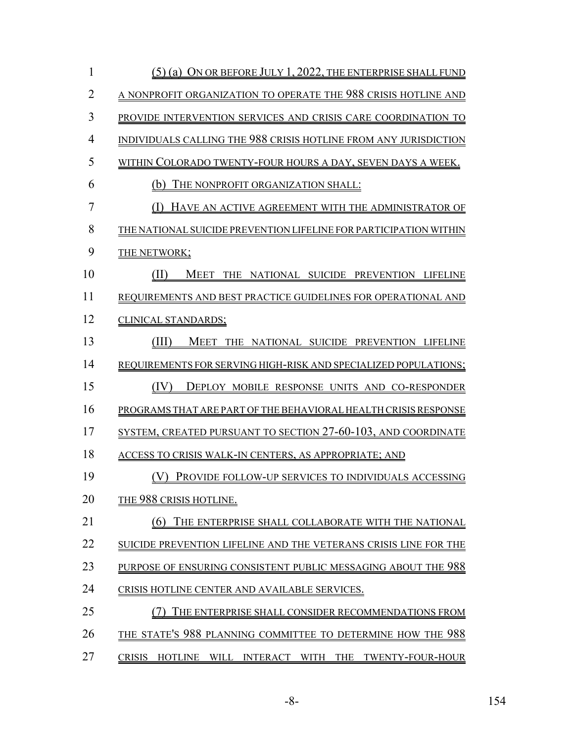| 1              | (5) (a) ON OR BEFORE JULY 1, 2022, THE ENTERPRISE SHALL FUND         |
|----------------|----------------------------------------------------------------------|
| $\overline{2}$ | A NONPROFIT ORGANIZATION TO OPERATE THE 988 CRISIS HOTLINE AND       |
| 3              | PROVIDE INTERVENTION SERVICES AND CRISIS CARE COORDINATION TO        |
| $\overline{4}$ | INDIVIDUALS CALLING THE 988 CRISIS HOTLINE FROM ANY JURISDICTION     |
| 5              | WITHIN COLORADO TWENTY-FOUR HOURS A DAY, SEVEN DAYS A WEEK.          |
| 6              | THE NONPROFIT ORGANIZATION SHALL:<br>(b)                             |
| $\overline{7}$ | HAVE AN ACTIVE AGREEMENT WITH THE ADMINISTRATOR OF                   |
| 8              | THE NATIONAL SUICIDE PREVENTION LIFELINE FOR PARTICIPATION WITHIN    |
| 9              | THE NETWORK;                                                         |
| 10             | (II)<br><u>MEET THE NATIONAL SUICIDE PREVENTION LIFELINE</u>         |
| 11             | REQUIREMENTS AND BEST PRACTICE GUIDELINES FOR OPERATIONAL AND        |
| 12             | CLINICAL STANDARDS;                                                  |
| 13             | (III)<br>MEET THE NATIONAL SUICIDE PREVENTION LIFELINE               |
| 14             | REQUIREMENTS FOR SERVING HIGH-RISK AND SPECIALIZED POPULATIONS;      |
| 15             | (IV)<br><b>DEPLOY MOBILE RESPONSE UNITS AND CO-RESPONDER</b>         |
| 16             | PROGRAMS THAT ARE PART OF THE BEHAVIORAL HEALTH CRISIS RESPONSE      |
| 17             | <u>SYSTEM, CREATED PURSUANT TO SECTION 27-60-103, AND COORDINATE</u> |
| 18             | ACCESS TO CRISIS WALK-IN CENTERS, AS APPROPRIATE; AND                |
| 19             | (V) PROVIDE FOLLOW-UP SERVICES TO INDIVIDUALS ACCESSING              |
| 20             | <b>THE 988 CRISIS HOTLINE.</b>                                       |
| 21             | (6)<br>THE ENTERPRISE SHALL COLLABORATE WITH THE NATIONAL            |
| 22             | SUICIDE PREVENTION LIFELINE AND THE VETERANS CRISIS LINE FOR THE     |
| 23             | PURPOSE OF ENSURING CONSISTENT PUBLIC MESSAGING ABOUT THE 988        |
| 24             | CRISIS HOTLINE CENTER AND AVAILABLE SERVICES.                        |
| 25             | THE ENTERPRISE SHALL CONSIDER RECOMMENDATIONS FROM                   |
| 26             | THE STATE'S 988 PLANNING COMMITTEE TO DETERMINE HOW THE 988          |
| 27             | <b>CRISIS</b><br>HOTLINE WILL INTERACT WITH THE TWENTY-FOUR-HOUR     |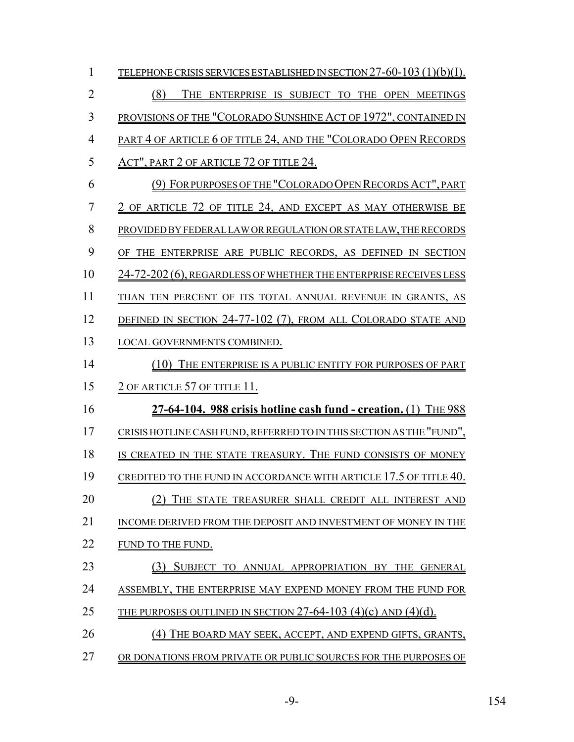| $\mathbf{1}$   | TELEPHONE CRISIS SERVICES ESTABLISHED IN SECTION 27-60-103 (1)(b)(I). |
|----------------|-----------------------------------------------------------------------|
| $\overline{2}$ | (8)<br>THE ENTERPRISE IS SUBJECT TO THE OPEN MEETINGS                 |
| 3              | PROVISIONS OF THE "COLORADO SUNSHINE ACT OF 1972", CONTAINED IN       |
| $\overline{4}$ | PART 4 OF ARTICLE 6 OF TITLE 24, AND THE "COLORADO OPEN RECORDS       |
| 5              | <u>Act", part 2 of article 72 of title 24.</u>                        |
| 6              | (9) FOR PURPOSES OF THE "COLORADO OPEN RECORDS ACT", PART             |
| 7              | 2 OF ARTICLE 72 OF TITLE 24, AND EXCEPT AS MAY OTHERWISE BE           |
| 8              | PROVIDED BY FEDERAL LAW OR REGULATION OR STATE LAW, THE RECORDS       |
| 9              | OF THE ENTERPRISE ARE PUBLIC RECORDS, AS DEFINED IN SECTION           |
| 10             | 24-72-202 (6), REGARDLESS OF WHETHER THE ENTERPRISE RECEIVES LESS     |
| 11             | THAN TEN PERCENT OF ITS TOTAL ANNUAL REVENUE IN GRANTS, AS            |
| 12             | DEFINED IN SECTION 24-77-102 (7), FROM ALL COLORADO STATE AND         |
| 13             | LOCAL GOVERNMENTS COMBINED.                                           |
| 14             | (10) THE ENTERPRISE IS A PUBLIC ENTITY FOR PURPOSES OF PART           |
| 15             | <u>2 OF ARTICLE 57 OF TITLE 11.</u>                                   |
| 16             | $27-64-104$ . 988 crisis hotline cash fund - creation. (1) THE 988    |
| 17             | CRISIS HOTLINE CASH FUND, REFERRED TO IN THIS SECTION AS THE "FUND",  |
| 18             | IS CREATED IN THE STATE TREASURY. THE FUND CONSISTS OF MONEY          |
| 19             | CREDITED TO THE FUND IN ACCORDANCE WITH ARTICLE 17.5 OF TITLE 40.     |
| 20             | THE STATE TREASURER SHALL CREDIT ALL INTEREST AND                     |
| 21             | INCOME DERIVED FROM THE DEPOSIT AND INVESTMENT OF MONEY IN THE        |
| 22             | FUND TO THE FUND.                                                     |
| 23             | SUBJECT TO ANNUAL APPROPRIATION BY<br>THE<br><b>GENERAL</b>           |
| 24             | ASSEMBLY. THE ENTERPRISE MAY EXPEND MONEY FROM THE FUND FOR           |
| 25             | THE PURPOSES OUTLINED IN SECTION 27-64-103 (4)(c) AND (4)(d).         |
| 26             | THE BOARD MAY SEEK, ACCEPT, AND EXPEND GIFTS, GRANTS,                 |
| 27             | OR DONATIONS FROM PRIVATE OR PUBLIC SOURCES FOR THE PURPOSES OF       |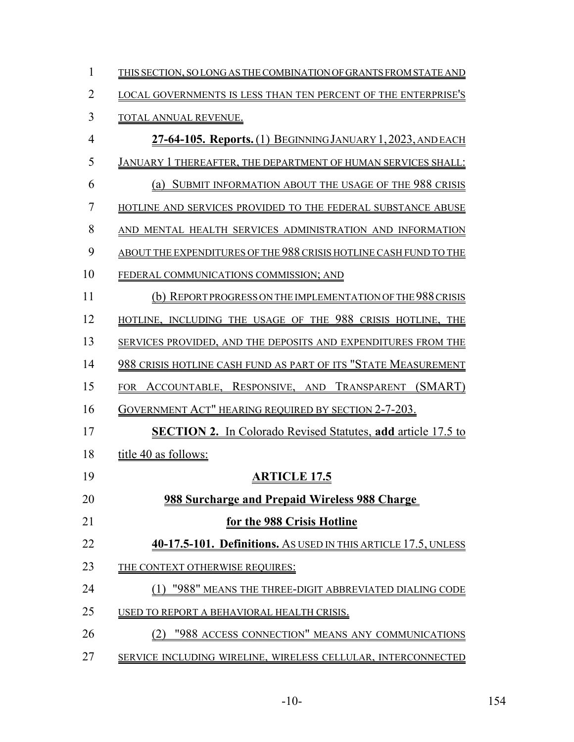| 1              | THIS SECTION, SO LONG AS THE COMBINATION OF GRANTS FROM STATE AND   |
|----------------|---------------------------------------------------------------------|
| $\overline{2}$ | LOCAL GOVERNMENTS IS LESS THAN TEN PERCENT OF THE ENTERPRISE'S      |
| 3              | TOTAL ANNUAL REVENUE.                                               |
| 4              | 27-64-105. Reports. (1) BEGINNING JANUARY 1, 2023, AND EACH         |
| 5              | JANUARY 1 THEREAFTER, THE DEPARTMENT OF HUMAN SERVICES SHALL:       |
| 6              | SUBMIT INFORMATION ABOUT THE USAGE OF THE 988 CRISIS<br>(a)         |
| 7              | HOTLINE AND SERVICES PROVIDED TO THE FEDERAL SUBSTANCE ABUSE        |
| 8              | AND MENTAL HEALTH SERVICES ADMINISTRATION AND INFORMATION           |
| 9              | ABOUT THE EXPENDITURES OF THE 988 CRISIS HOTLINE CASH FUND TO THE   |
| 10             | FEDERAL COMMUNICATIONS COMMISSION; AND                              |
| 11             | REPORT PROGRESS ON THE IMPLEMENTATION OF THE 988 CRISIS<br>(b)      |
| 12             | HOTLINE, INCLUDING THE USAGE OF THE 988 CRISIS HOTLINE, THE         |
| 13             | SERVICES PROVIDED, AND THE DEPOSITS AND EXPENDITURES FROM THE       |
| 14             | 988 CRISIS HOTLINE CASH FUND AS PART OF ITS "STATE MEASUREMENT      |
| 15             | ACCOUNTABLE, RESPONSIVE, AND TRANSPARENT (SMART)<br><b>FOR</b>      |
| 16             | GOVERNMENT ACT" HEARING REQUIRED BY SECTION 2-7-203.                |
| 17             | <b>SECTION 2.</b> In Colorado Revised Statutes, add article 17.5 to |
| 18             | title 40 as follows:                                                |
| 19             | <b>ARTICLE 17.5</b>                                                 |
| 20             | <b>988 Surcharge and Prepaid Wireless 988 Charge</b>                |
| 21             | for the 988 Crisis Hotline                                          |
| 22             | 40-17.5-101. Definitions. As USED IN THIS ARTICLE 17.5, UNLESS      |
| 23             | THE CONTEXT OTHERWISE REQUIRES:                                     |
| 24             | "988" MEANS THE THREE-DIGIT ABBREVIATED DIALING CODE                |
| 25             | USED TO REPORT A BEHAVIORAL HEALTH CRISIS.                          |
| 26             | "988 ACCESS CONNECTION" MEANS ANY COMMUNICATIONS                    |
| 27             | SERVICE INCLUDING WIRELINE, WIRELESS CELLULAR, INTERCONNECTED       |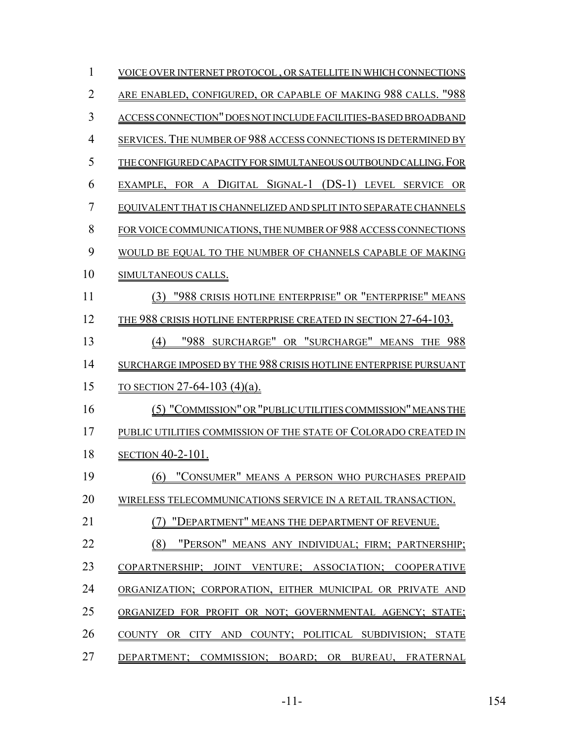| 1              | VOICE OVER INTERNET PROTOCOL, OR SATELLITE IN WHICH CONNECTIONS                            |
|----------------|--------------------------------------------------------------------------------------------|
| $\overline{2}$ | ARE ENABLED, CONFIGURED, OR CAPABLE OF MAKING 988 CALLS. "988                              |
| 3              | ACCESS CONNECTION" DOES NOT INCLUDE FACILITIES-BASED BROADBAND                             |
| $\overline{4}$ | SERVICES. THE NUMBER OF 988 ACCESS CONNECTIONS IS DETERMINED BY                            |
| 5              | THE CONFIGURED CAPACITY FOR SIMULTANEOUS OUTBOUND CALLING. FOR                             |
| 6              | EXAMPLE, FOR A DIGITAL SIGNAL-1 (DS-1) LEVEL SERVICE OR                                    |
| 7              | EQUIVALENT THAT IS CHANNELIZED AND SPLIT INTO SEPARATE CHANNELS                            |
| 8              | FOR VOICE COMMUNICATIONS, THE NUMBER OF 988 ACCESS CONNECTIONS                             |
| 9              | WOULD BE EQUAL TO THE NUMBER OF CHANNELS CAPABLE OF MAKING                                 |
| 10             | SIMULTANEOUS CALLS.                                                                        |
| 11             | (3) "988 CRISIS HOTLINE ENTERPRISE" OR "ENTERPRISE" MEANS                                  |
| 12             | THE 988 CRISIS HOTLINE ENTERPRISE CREATED IN SECTION 27-64-103.                            |
| 13             | "988 SURCHARGE" OR "SURCHARGE" MEANS THE 988<br>(4)                                        |
| 14             | SURCHARGE IMPOSED BY THE 988 CRISIS HOTLINE ENTERPRISE PURSUANT                            |
| 15             | TO SECTION 27-64-103 (4)(a).                                                               |
| 16             | (5) "COMMISSION" OR "PUBLIC UTILITIES COMMISSION" MEANS THE                                |
| 17             | PUBLIC UTILITIES COMMISSION OF THE STATE OF COLORADO CREATED IN                            |
| 18             | <b>SECTION 40-2-101.</b>                                                                   |
| 19             | (6) "CONSUMER" MEANS A PERSON WHO PURCHASES PREPAID                                        |
| 20             | WIRELESS TELECOMMUNICATIONS SERVICE IN A RETAIL TRANSACTION.                               |
| 21             | "DEPARTMENT" MEANS THE DEPARTMENT OF REVENUE.                                              |
| 22             | (8)<br>"PERSON" MEANS ANY INDIVIDUAL; FIRM; PARTNERSHIP;                                   |
| 23             | COPARTNERSHIP: JOINT<br>VENTURE: ASSOCIATION:<br><b>COOPERATIVE</b>                        |
| 24             | ORGANIZATION: CORPORATION, EITHER MUNICIPAL OR PRIVATE AND                                 |
| 25             | ORGANIZED FOR PROFIT OR NOT: GOVERNMENTAL AGENCY: STATE:                                   |
| 26             | <b>COUNTY</b><br>COUNTY: POLITICAL SUBDIVISION:<br>OR.<br>AND.<br><b>STATE</b><br>– CITY – |
| 27             | DEPARTMENT:<br>COMMISSION; BOARD; OR<br>BUREAU, FRATERNAL                                  |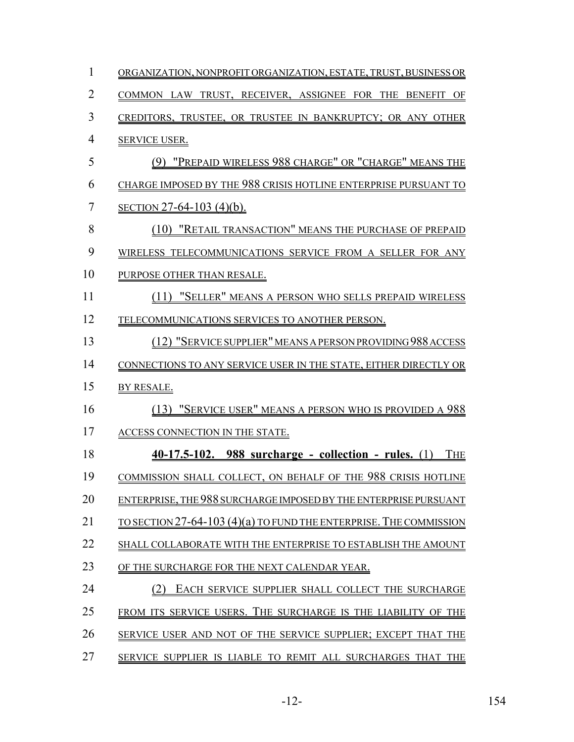| 1              | ORGANIZATION, NONPROFIT ORGANIZATION, ESTATE, TRUST, BUSINESS OR      |
|----------------|-----------------------------------------------------------------------|
| $\overline{2}$ | COMMON LAW TRUST, RECEIVER, ASSIGNEE FOR THE BENEFIT OF               |
| 3              | CREDITORS, TRUSTEE, OR TRUSTEE IN BANKRUPTCY; OR ANY OTHER            |
| $\overline{4}$ | <b>SERVICE USER.</b>                                                  |
| 5              | (9) "PREPAID WIRELESS 988 CHARGE" OR "CHARGE" MEANS THE               |
| 6              | CHARGE IMPOSED BY THE 988 CRISIS HOTLINE ENTERPRISE PURSUANT TO       |
| $\overline{7}$ | <u>SECTION 27-64-103 (4)(b).</u>                                      |
| 8              | (10) "RETAIL TRANSACTION" MEANS THE PURCHASE OF PREPAID               |
| 9              | WIRELESS TELECOMMUNICATIONS SERVICE FROM A SELLER FOR ANY             |
| 10             | PURPOSE OTHER THAN RESALE.                                            |
| 11             | (11) "SELLER" MEANS A PERSON WHO SELLS PREPAID WIRELESS               |
| 12             | TELECOMMUNICATIONS SERVICES TO ANOTHER PERSON.                        |
| 13             | (12) "SERVICE SUPPLIER" MEANS A PERSON PROVIDING 988 ACCESS           |
| 14             | CONNECTIONS TO ANY SERVICE USER IN THE STATE, EITHER DIRECTLY OR      |
| 15             | BY RESALE.                                                            |
| 16             | (13) "SERVICE USER" MEANS A PERSON WHO IS PROVIDED A 988              |
| 17             | ACCESS CONNECTION IN THE STATE.                                       |
| 18             | $40-17.5-102$ . 988 surcharge - collection - rules. (1)<br><b>THE</b> |
| 19             | <b>COMMISSION SHALL COLLECT, ON BEHALF OF THE 988 CRISIS HOTLINE</b>  |
| 20             | ENTERPRISE, THE 988 SURCHARGE IMPOSED BY THE ENTERPRISE PURSUANT      |
| 21             | TO SECTION $27-64-103(4)(a)$ to fund the enterprise. The commission   |
| 22             | SHALL COLLABORATE WITH THE ENTERPRISE TO ESTABLISH THE AMOUNT         |
| 23             | OF THE SURCHARGE FOR THE NEXT CALENDAR YEAR.                          |
| 24             | EACH SERVICE SUPPLIER SHALL COLLECT THE SURCHARGE                     |
| 25             | FROM ITS SERVICE USERS. THE SURCHARGE IS THE LIABILITY OF THE         |
| 26             | SERVICE USER AND NOT OF THE SERVICE SUPPLIER; EXCEPT THAT THE         |
| 27             | SERVICE SUPPLIER IS LIABLE TO REMIT ALL SURCHARGES THAT THE           |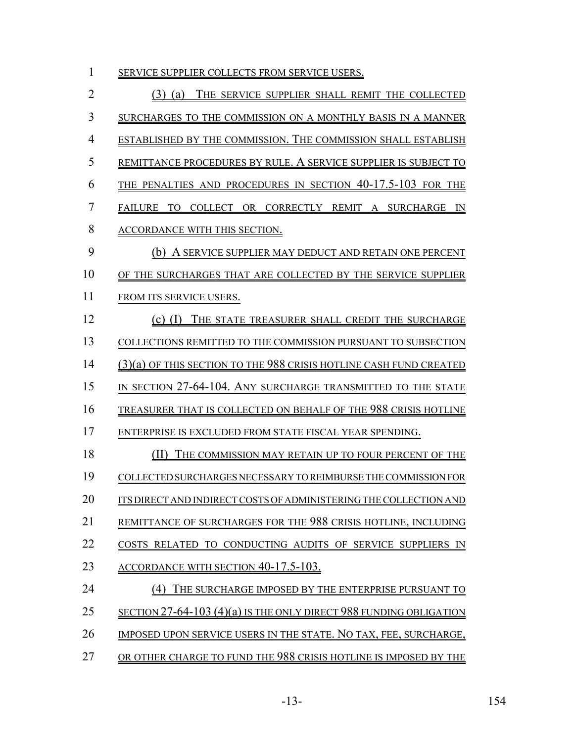| 1  | SERVICE SUPPLIER COLLECTS FROM SERVICE USERS.                             |
|----|---------------------------------------------------------------------------|
| 2  | THE SERVICE SUPPLIER SHALL REMIT THE COLLECTED<br>$(3)$ (a)               |
| 3  | SURCHARGES TO THE COMMISSION ON A MONTHLY BASIS IN A MANNER               |
| 4  | ESTABLISHED BY THE COMMISSION. THE COMMISSION SHALL ESTABLISH             |
| 5  | REMITTANCE PROCEDURES BY RULE. A SERVICE SUPPLIER IS SUBJECT TO           |
| 6  | THE PENALTIES AND PROCEDURES IN SECTION 40-17.5-103 FOR THE               |
| 7  | COLLECT OR CORRECTLY REMIT A SURCHARGE<br><b>FAILURE</b><br>TO<br>IN      |
| 8  | ACCORDANCE WITH THIS SECTION.                                             |
| 9  | (b) A SERVICE SUPPLIER MAY DEDUCT AND RETAIN ONE PERCENT                  |
| 10 | OF THE SURCHARGES THAT ARE COLLECTED BY THE SERVICE SUPPLIER              |
| 11 | FROM ITS SERVICE USERS.                                                   |
| 12 | (c) (I) THE STATE TREASURER SHALL CREDIT THE SURCHARGE                    |
| 13 | COLLECTIONS REMITTED TO THE COMMISSION PURSUANT TO SUBSECTION             |
| 14 | $(3)(a)$ of this section to the 988 crisis hotline cash fund created      |
| 15 | IN SECTION 27-64-104. ANY SURCHARGE TRANSMITTED TO THE STATE              |
| 16 | TREASURER THAT IS COLLECTED ON BEHALF OF THE 988 CRISIS HOTLINE           |
| 17 | ENTERPRISE IS EXCLUDED FROM STATE FISCAL YEAR SPENDING.                   |
| 18 | THE COMMISSION MAY RETAIN UP TO FOUR PERCENT OF THE                       |
| 19 | COLLECTED SURCHARGES NECESSARY TO REIMBURSE THE COMMISSION FOR            |
| 20 | ITS DIRECT AND INDIRECT COSTS OF ADMINISTERING THE COLLECTION AND         |
| 21 | REMITTANCE OF SURCHARGES FOR THE 988 CRISIS HOTLINE, INCLUDING            |
| 22 | COSTS RELATED TO CONDUCTING AUDITS OF SERVICE SUPPLIERS IN                |
| 23 | <u>ACCORDANCE WITH SECTION 40-17.5-103.</u>                               |
| 24 | (4) THE SURCHARGE IMPOSED BY THE ENTERPRISE PURSUANT TO                   |
| 25 | <u>SECTION 27-64-103 (4)(a) IS THE ONLY DIRECT 988 FUNDING OBLIGATION</u> |
| 26 | IMPOSED UPON SERVICE USERS IN THE STATE. NO TAX, FEE, SURCHARGE,          |
| 27 | OR OTHER CHARGE TO FUND THE 988 CRISIS HOTLINE IS IMPOSED BY THE          |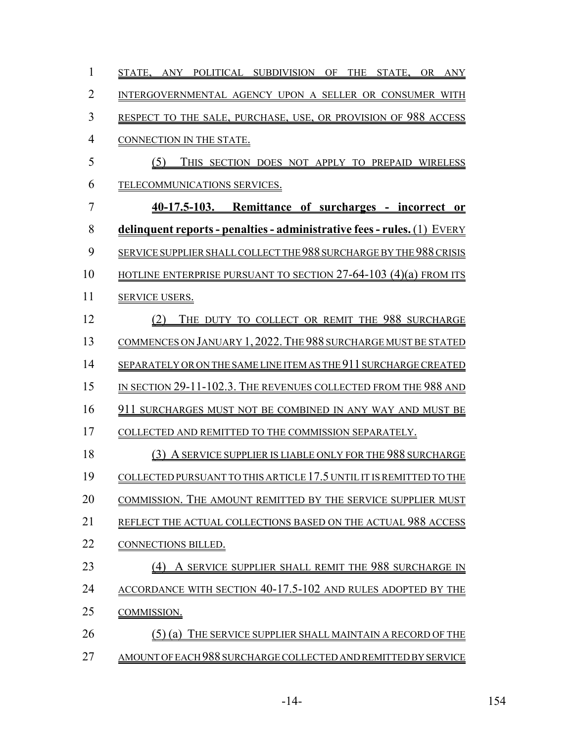| 1              | THE STATE, OR ANY<br>STATE, ANY POLITICAL SUBDIVISION OF                |
|----------------|-------------------------------------------------------------------------|
| $\overline{2}$ | INTERGOVERNMENTAL AGENCY UPON A SELLER OR CONSUMER WITH                 |
| 3              | RESPECT TO THE SALE, PURCHASE, USE, OR PROVISION OF 988 ACCESS          |
| $\overline{4}$ | CONNECTION IN THE STATE.                                                |
| 5              | (5)<br>THIS SECTION DOES NOT APPLY TO PREPAID WIRELESS                  |
| 6              | TELECOMMUNICATIONS SERVICES.                                            |
| 7              | 40-17.5-103. Remittance of surcharges - incorrect or                    |
| 8              | delinquent reports - penalties - administrative fees - rules. (1) EVERY |
| 9              | SERVICE SUPPLIER SHALL COLLECT THE 988 SURCHARGE BY THE 988 CRISIS      |
| 10             | HOTLINE ENTERPRISE PURSUANT TO SECTION $27-64-103$ (4)(a) FROM ITS      |
| 11             | <b>SERVICE USERS.</b>                                                   |
| 12             | THE DUTY TO COLLECT OR REMIT THE 988 SURCHARGE<br>(2)                   |
| 13             | COMMENCES ON JANUARY 1, 2022. THE 988 SURCHARGE MUST BE STATED          |
| 14             | SEPARATELY OR ON THE SAME LINE ITEM AS THE 911 SURCHARGE CREATED        |
| 15             | IN SECTION 29-11-102.3. THE REVENUES COLLECTED FROM THE 988 AND         |
| 16             | 911 SURCHARGES MUST NOT BE COMBINED IN ANY WAY AND MUST BE              |
| 17             | COLLECTED AND REMITTED TO THE COMMISSION SEPARATELY.                    |
| 18             | (3) A SERVICE SUPPLIER IS LIABLE ONLY FOR THE 988 SURCHARGE             |
| 19             | COLLECTED PURSUANT TO THIS ARTICLE 17.5 UNTIL IT IS REMITTED TO THE     |
| 20             | COMMISSION. THE AMOUNT REMITTED BY THE SERVICE SUPPLIER MUST            |
| 21             | REFLECT THE ACTUAL COLLECTIONS BASED ON THE ACTUAL 988 ACCESS           |
| 22             | CONNECTIONS BILLED.                                                     |
| 23             | A SERVICE SUPPLIER SHALL REMIT THE 988 SURCHARGE IN                     |
| 24             | ACCORDANCE WITH SECTION 40-17.5-102 AND RULES ADOPTED BY THE            |
| 25             | COMMISSION.                                                             |
| 26             | $(5)$ (a)<br>THE SERVICE SUPPLIER SHALL MAINTAIN A RECORD OF THE        |
| 27             | AMOUNT OF EACH 988 SURCHARGE COLLECTED AND REMITTED BY SERVICE          |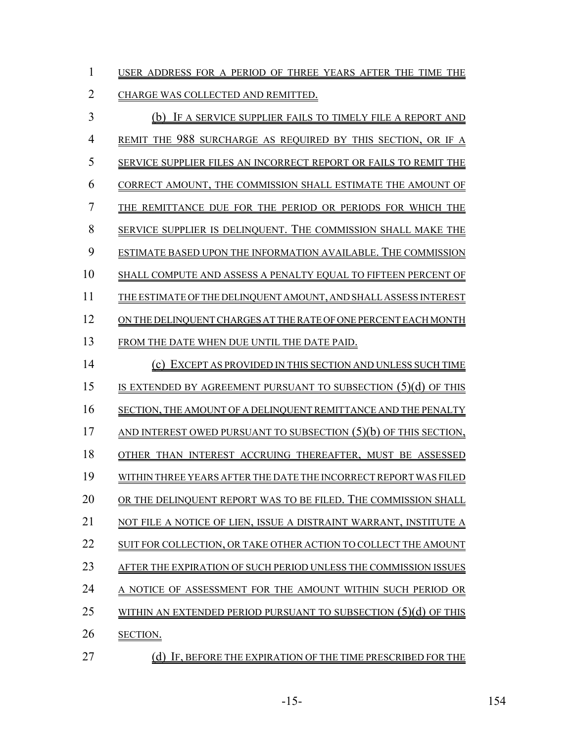| USER ADDRESS FOR A PERIOD OF THREE YEARS AFTER THE TIME THE |  |  |  |  |  |
|-------------------------------------------------------------|--|--|--|--|--|
|                                                             |  |  |  |  |  |

# CHARGE WAS COLLECTED AND REMITTED.

| $\overline{3}$ | (b) IF A SERVICE SUPPLIER FAILS TO TIMELY FILE A REPORT AND        |
|----------------|--------------------------------------------------------------------|
| $\overline{4}$ | REMIT THE 988 SURCHARGE AS REQUIRED BY THIS SECTION, OR IF A       |
| 5              | SERVICE SUPPLIER FILES AN INCORRECT REPORT OR FAILS TO REMIT THE   |
| 6              | CORRECT AMOUNT, THE COMMISSION SHALL ESTIMATE THE AMOUNT OF        |
| $\overline{7}$ | THE REMITTANCE DUE FOR THE PERIOD OR PERIODS FOR WHICH THE         |
| 8              | SERVICE SUPPLIER IS DELINQUENT. THE COMMISSION SHALL MAKE THE      |
| 9              | ESTIMATE BASED UPON THE INFORMATION AVAILABLE. THE COMMISSION      |
| 10             | SHALL COMPUTE AND ASSESS A PENALTY EQUAL TO FIFTEEN PERCENT OF     |
| 11             | THE ESTIMATE OF THE DELINQUENT AMOUNT, AND SHALL ASSESS INTEREST   |
| 12             | ON THE DELINQUENT CHARGES AT THE RATE OF ONE PERCENT EACH MONTH    |
| 13             | FROM THE DATE WHEN DUE UNTIL THE DATE PAID.                        |
| 14             | (c) EXCEPT AS PROVIDED IN THIS SECTION AND UNLESS SUCH TIME        |
| 15             | IS EXTENDED BY AGREEMENT PURSUANT TO SUBSECTION (5)(d) OF THIS     |
| 16             | SECTION, THE AMOUNT OF A DELINQUENT REMITTANCE AND THE PENALTY     |
| 17             | AND INTEREST OWED PURSUANT TO SUBSECTION $(5)(b)$ OF THIS SECTION, |
| 18             | OTHER THAN INTEREST ACCRUING THEREAFTER, MUST BE ASSESSED          |
| 19             | WITHIN THREE YEARS AFTER THE DATE THE INCORRECT REPORT WAS FILED   |
| 20             | OR THE DELINQUENT REPORT WAS TO BE FILED. THE COMMISSION SHALL     |
| 21             | NOT FILE A NOTICE OF LIEN, ISSUE A DISTRAINT WARRANT, INSTITUTE A  |
| 22             | SUIT FOR COLLECTION, OR TAKE OTHER ACTION TO COLLECT THE AMOUNT    |
| 23             | AFTER THE EXPIRATION OF SUCH PERIOD UNLESS THE COMMISSION ISSUES   |
| 24             | A NOTICE OF ASSESSMENT FOR THE AMOUNT WITHIN SUCH PERIOD OR        |
| 25             | WITHIN AN EXTENDED PERIOD PURSUANT TO SUBSECTION $(5)(d)$ OF THIS  |
| 26             | SECTION.                                                           |
|                |                                                                    |

27 (d) IF, BEFORE THE EXPIRATION OF THE TIME PRESCRIBED FOR THE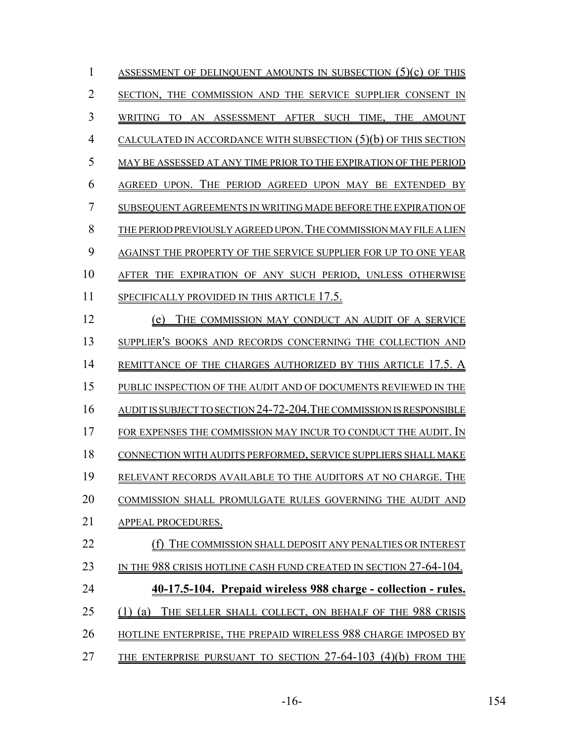| 1  | ASSESSMENT OF DELINQUENT AMOUNTS IN SUBSECTION $(5)(c)$ OF THIS       |
|----|-----------------------------------------------------------------------|
| 2  | SECTION, THE COMMISSION AND THE SERVICE SUPPLIER CONSENT              |
| 3  | AN ASSESSMENT AFTER SUCH TIME, THE<br>WRITING<br>AMOUNT<br>TO         |
| 4  | CALCULATED IN ACCORDANCE WITH SUBSECTION $(5)(b)$ OF THIS SECTION     |
| 5  | MAY BE ASSESSED AT ANY TIME PRIOR TO THE EXPIRATION OF THE PERIOD     |
| 6  | AGREED UPON. THE PERIOD AGREED UPON MAY BE EXTENDED<br>- BY           |
| 7  | SUBSEQUENT AGREEMENTS IN WRITING MADE BEFORE THE EXPIRATION OF        |
| 8  | THE PERIOD PREVIOUSLY AGREED UPON. THE COMMISSION MAY FILE A LIEN     |
| 9  | AGAINST THE PROPERTY OF THE SERVICE SUPPLIER FOR UP TO ONE YEAR       |
| 10 | AFTER THE EXPIRATION OF ANY SUCH PERIOD, UNLESS OTHERWISE             |
| 11 | SPECIFICALLY PROVIDED IN THIS ARTICLE 17.5.                           |
| 12 | THE COMMISSION MAY CONDUCT AN AUDIT OF A SERVICE<br>(e)               |
| 13 | SUPPLIER'S BOOKS AND RECORDS CONCERNING THE COLLECTION AND            |
| 14 | REMITTANCE OF THE CHARGES AUTHORIZED BY THIS ARTICLE 17.5. A          |
| 15 | PUBLIC INSPECTION OF THE AUDIT AND OF DOCUMENTS REVIEWED IN THE       |
| 16 | AUDIT IS SUBJECT TO SECTION 24-72-204. THE COMMISSION IS RESPONSIBLE  |
| 17 | FOR EXPENSES THE COMMISSION MAY INCUR TO CONDUCT THE AUDIT.           |
| 18 | CONNECTION WITH AUDITS PERFORMED, SERVICE SUPPLIERS SHALL MAKE        |
| 19 | RELEVANT RECORDS AVAILABLE TO THE AUDITORS AT NO CHARGE. THE          |
| 20 | COMMISSION SHALL PROMULGATE RULES GOVERNING THE AUDIT AND             |
| 21 | <b>APPEAL PROCEDURES.</b>                                             |
| 22 | (f) THE COMMISSION SHALL DEPOSIT ANY PENALTIES OR INTEREST            |
| 23 | IN THE 988 CRISIS HOTLINE CASH FUND CREATED IN SECTION 27-64-104.     |
| 24 | <u>40-17.5-104. Prepaid wireless 988 charge - collection - rules.</u> |
| 25 | THE SELLER SHALL COLLECT, ON BEHALF OF THE 988 CRISIS<br>$(1)$ (a)    |
| 26 | HOTLINE ENTERPRISE, THE PREPAID WIRELESS 988 CHARGE IMPOSED BY        |
| 27 | THE ENTERPRISE PURSUANT TO SECTION $27-64-103$ (4)(b) FROM THE        |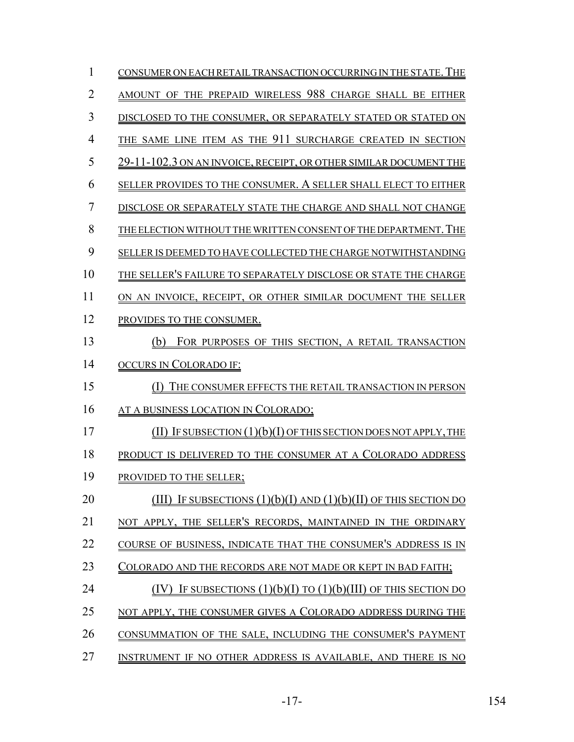| 1  | CONSUMER ON EACH RETAIL TRANSACTION OCCURRING IN THE STATE. THE        |
|----|------------------------------------------------------------------------|
| 2  | AMOUNT OF THE PREPAID WIRELESS 988 CHARGE SHALL BE EITHER              |
| 3  | DISCLOSED TO THE CONSUMER, OR SEPARATELY STATED OR STATED ON           |
| 4  | THE SAME LINE ITEM AS THE 911 SURCHARGE CREATED IN SECTION             |
| 5  | 29-11-102.3 ON AN INVOICE, RECEIPT, OR OTHER SIMILAR DOCUMENT THE      |
| 6  | SELLER PROVIDES TO THE CONSUMER. A SELLER SHALL ELECT TO EITHER        |
| 7  | DISCLOSE OR SEPARATELY STATE THE CHARGE AND SHALL NOT CHANGE           |
| 8  | THE ELECTION WITHOUT THE WRITTEN CONSENT OF THE DEPARTMENT. THE        |
| 9  | SELLER IS DEEMED TO HAVE COLLECTED THE CHARGE NOTWITHSTANDING          |
| 10 | THE SELLER'S FAILURE TO SEPARATELY DISCLOSE OR STATE THE CHARGE        |
| 11 | ON AN INVOICE, RECEIPT, OR OTHER SIMILAR DOCUMENT THE SELLER           |
| 12 | PROVIDES TO THE CONSUMER.                                              |
| 13 | FOR PURPOSES OF THIS SECTION, A RETAIL TRANSACTION<br>(b)              |
| 14 | <b>OCCURS IN COLORADO IF:</b>                                          |
| 15 | THE CONSUMER EFFECTS THE RETAIL TRANSACTION IN PERSON<br>(1)           |
| 16 | AT A BUSINESS LOCATION IN COLORADO;                                    |
| 17 | IF SUBSECTION $(1)(b)(I)$ OF THIS SECTION DOES NOT APPLY, THE<br>(III) |
| 18 | PRODUCT IS DELIVERED TO THE CONSUMER AT A COLORADO ADDRESS             |
| 19 | PROVIDED TO THE SELLER;                                                |
| 20 | IF SUBSECTIONS $(1)(b)(I)$ AND $(1)(b)(II)$ OF THIS SECTION DO         |
| 21 | NOT APPLY, THE SELLER'S RECORDS, MAINTAINED IN THE ORDINARY            |
| 22 | COURSE OF BUSINESS, INDICATE THAT THE CONSUMER'S ADDRESS IS IN         |
| 23 | Colorado and the records are not made or kept in bad faith;            |
| 24 | IF SUBSECTIONS $(1)(b)(I)$ TO $(1)(b)(III)$ OF THIS SECTION DO         |
| 25 | NOT APPLY, THE CONSUMER GIVES A COLORADO ADDRESS DURING THE            |
| 26 | CONSUMMATION OF THE SALE, INCLUDING THE CONSUMER'S PAYMENT             |
| 27 | INSTRUMENT IF NO OTHER ADDRESS IS AVAILABLE, AND THERE IS NO           |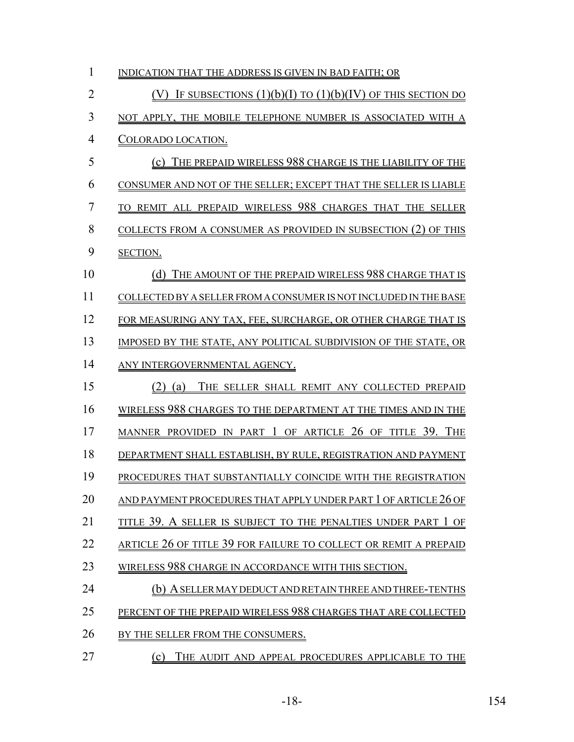| 1              | INDICATION THAT THE ADDRESS IS GIVEN IN BAD FAITH; OR               |
|----------------|---------------------------------------------------------------------|
| $\overline{2}$ | (V) IF SUBSECTIONS $(1)(b)(I)$ TO $(1)(b)(IV)$ OF THIS SECTION DO   |
| 3              | NOT APPLY, THE MOBILE TELEPHONE NUMBER IS ASSOCIATED WITH A         |
| 4              | <u>COLORADO LOCATION.</u>                                           |
| 5              | (c) THE PREPAID WIRELESS 988 CHARGE IS THE LIABILITY OF THE         |
| 6              | CONSUMER AND NOT OF THE SELLER; EXCEPT THAT THE SELLER IS LIABLE    |
| 7              | TO REMIT ALL PREPAID WIRELESS 988 CHARGES THAT THE SELLER           |
| 8              | COLLECTS FROM A CONSUMER AS PROVIDED IN SUBSECTION (2) OF THIS      |
| 9              | SECTION.                                                            |
| 10             | (d) THE AMOUNT OF THE PREPAID WIRELESS 988 CHARGE THAT IS           |
| 11             | COLLECTED BY A SELLER FROM A CONSUMER IS NOT INCLUDED IN THE BASE   |
| 12             | FOR MEASURING ANY TAX, FEE, SURCHARGE, OR OTHER CHARGE THAT IS      |
| 13             | IMPOSED BY THE STATE, ANY POLITICAL SUBDIVISION OF THE STATE, OR    |
| 14             | ANY INTERGOVERNMENTAL AGENCY.                                       |
| 15             | $(2)$ (a)<br>THE SELLER SHALL REMIT ANY COLLECTED PREPAID           |
| 16             | WIRELESS 988 CHARGES TO THE DEPARTMENT AT THE TIMES AND IN THE      |
| 17             | MANNER PROVIDED IN PART 1 OF ARTICLE 26 OF TITLE 39. THE            |
| 18             | DEPARTMENT SHALL ESTABLISH, BY RULE, REGISTRATION AND PAYMENT       |
| 19             | PROCEDURES THAT SUBSTANTIALLY COINCIDE WITH THE REGISTRATION        |
| 20             | AND PAYMENT PROCEDURES THAT APPLY UNDER PART $1$ OF ARTICLE $26$ OF |
| 21             | TITLE 39. A SELLER IS SUBJECT TO THE PENALTIES UNDER PART 1 OF      |
| 22             | article 26 of title 39 for failure to collect or remit a prepaid    |
| 23             | WIRELESS 988 CHARGE IN ACCORDANCE WITH THIS SECTION.                |
| 24             | (b) A SELLER MAY DEDUCT AND RETAIN THREE AND THREE-TENTHS           |
| 25             | PERCENT OF THE PREPAID WIRELESS 988 CHARGES THAT ARE COLLECTED      |
| 26             | BY THE SELLER FROM THE CONSUMERS.                                   |
| 27             | (c)<br>THE AUDIT AND APPEAL PROCEDURES APPLICABLE TO THE            |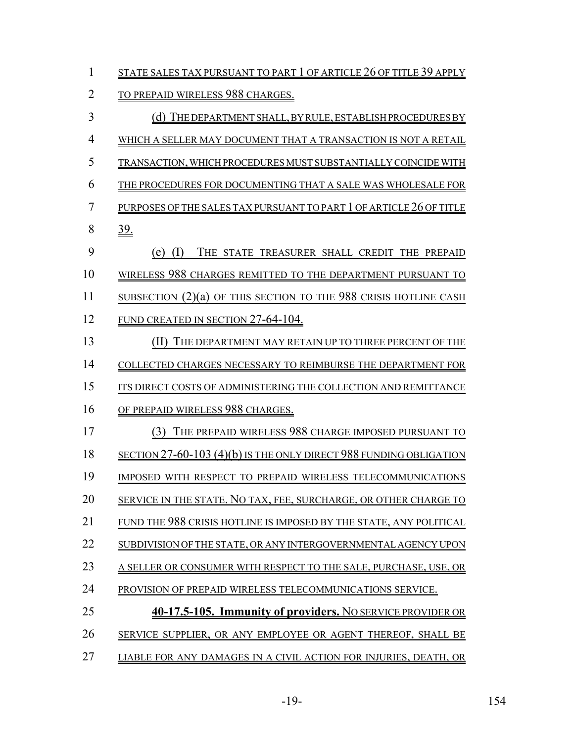| $\mathbf{1}$   | STATE SALES TAX PURSUANT TO PART 1 OF ARTICLE 26 OF TITLE 39 APPLY        |
|----------------|---------------------------------------------------------------------------|
| $\overline{2}$ | TO PREPAID WIRELESS 988 CHARGES.                                          |
| 3              | <u>(d) The department shall, by rule, establish procedures by</u>         |
| $\overline{4}$ | WHICH A SELLER MAY DOCUMENT THAT A TRANSACTION IS NOT A RETAIL            |
| 5              | TRANSACTION, WHICH PROCEDURES MUST SUBSTANTIALLY COINCIDE WITH            |
| 6              | THE PROCEDURES FOR DOCUMENTING THAT A SALE WAS WHOLESALE FOR              |
| 7              | PURPOSES OF THE SALES TAX PURSUANT TO PART 1 OF ARTICLE 26 OF TITLE       |
| 8              | $\underline{39}$ .                                                        |
| 9              | (I)<br>THE STATE TREASURER SHALL CREDIT THE PREPAID<br>(e)                |
| 10             | WIRELESS 988 CHARGES REMITTED TO THE DEPARTMENT PURSUANT TO               |
| 11             | <u>SUBSECTION</u> $(2)(a)$ OF THIS SECTION TO THE 988 CRISIS HOTLINE CASH |
| 12             | FUND CREATED IN SECTION 27-64-104.                                        |
| 13             | THE DEPARTMENT MAY RETAIN UP TO THREE PERCENT OF THE<br>(11)              |
| 14             | COLLECTED CHARGES NECESSARY TO REIMBURSE THE DEPARTMENT FOR               |
| 15             | ITS DIRECT COSTS OF ADMINISTERING THE COLLECTION AND REMITTANCE           |
| 16             | OF PREPAID WIRELESS 988 CHARGES.                                          |
| 17             | THE PREPAID WIRELESS 988 CHARGE IMPOSED PURSUANT TO<br>(3)                |
| 18             | SECTION 27-60-103 (4)(b) IS THE ONLY DIRECT 988 FUNDING OBLIGATION        |
| 19             | IMPOSED WITH RESPECT TO PREPAID WIRELESS TELECOMMUNICATIONS               |
| 20             | SERVICE IN THE STATE. NO TAX, FEE, SURCHARGE, OR OTHER CHARGE TO          |
| 21             | FUND THE 988 CRISIS HOTLINE IS IMPOSED BY THE STATE, ANY POLITICAL        |
| 22             | SUBDIVISION OF THE STATE, OR ANY INTERGOVERNMENTAL AGENCY UPON            |
| 23             | A SELLER OR CONSUMER WITH RESPECT TO THE SALE, PURCHASE, USE, OR          |
| 24             | PROVISION OF PREPAID WIRELESS TELECOMMUNICATIONS SERVICE.                 |
| 25             | 40-17.5-105. Immunity of providers. NO SERVICE PROVIDER OR                |
| 26             | SERVICE SUPPLIER, OR ANY EMPLOYEE OR AGENT THEREOF, SHALL BE              |
| 27             | LIABLE FOR ANY DAMAGES IN A CIVIL ACTION FOR INJURIES, DEATH, OR          |